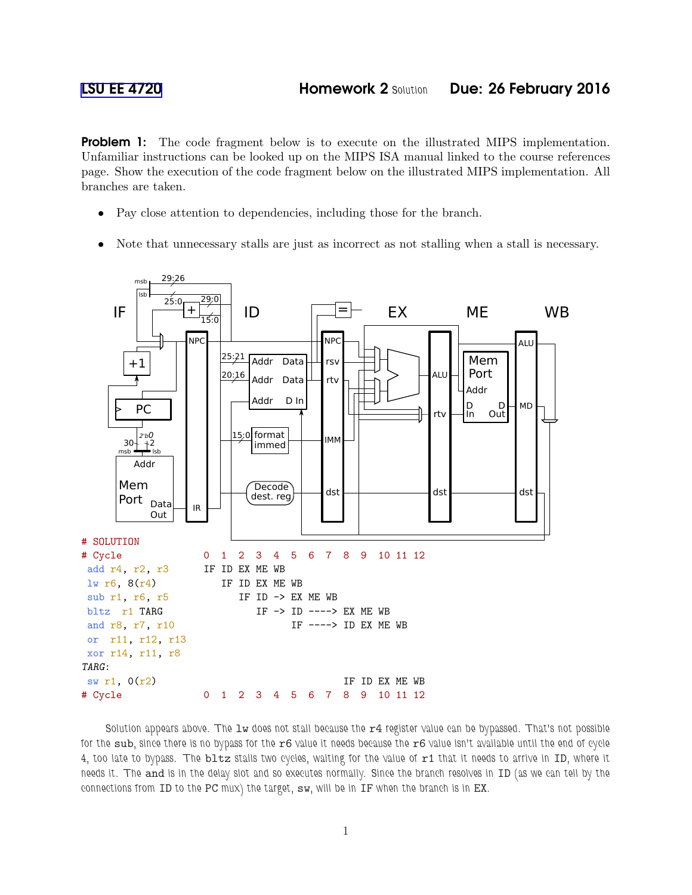**Problem 1:** The code fragment below is to execute on the illustrated MIPS implementation. Unfamiliar instructions can be looked up on the MIPS ISA manual linked to the course references page. Show the execution of the code fragment below on the illustrated MIPS implementation. All branches are taken.

- Pay close attention to dependencies, including those for the branch.
- Note that unnecessary stalls are just as incorrect as not stalling when a stall is necessary.



Solution appears above. The lw does not stall because the r4 *register value can be bypassed.* That's not possible *for the* sub*, since there is no bypass for the* r6 *value it needs because the* r6 *value isn't available until the end of cycle 4, too late to bypass. The* bltz *stalls two cycles, waiting for the value of* r1 *that it needs to arrive in* ID*, where it needs it. The* and *is in the delay slot and so executes normally. Since the branch resolves in* ID *(as we can tell by the connections from* ID *to the* PC *mux) the target,* sw*, will be in* IF *when the branch is in* EX*.*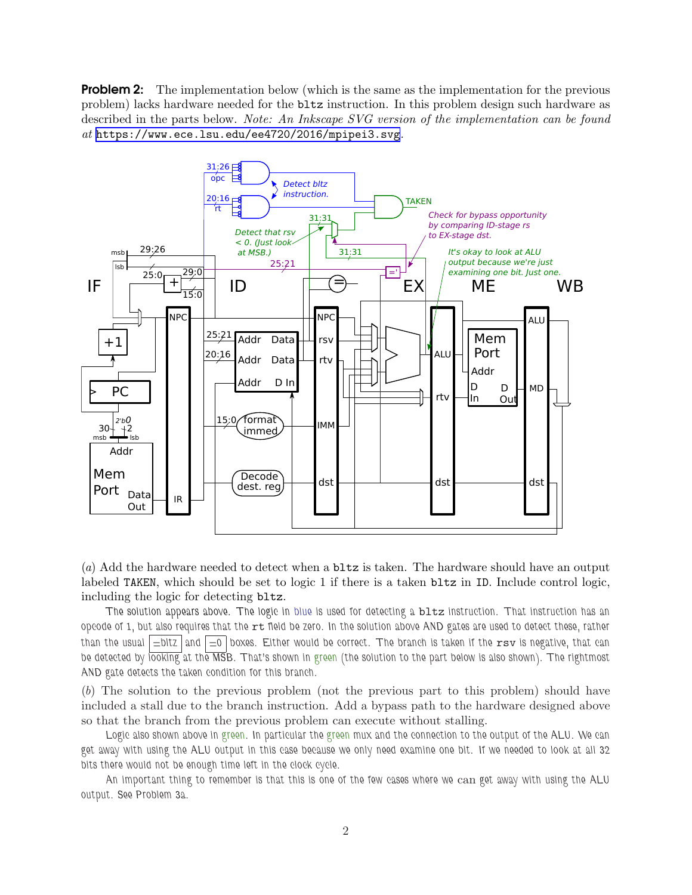**Problem 2:** The implementation below (which is the same as the implementation for the previous problem) lacks hardware needed for the bltz instruction. In this problem design such hardware as described in the parts below. Note: An Inkscape SVG version of the implementation can be found at <https://www.ece.lsu.edu/ee4720/2016/mpipei3.svg>.



(a) Add the hardware needed to detect when a bltz is taken. The hardware should have an output labeled TAKEN, which should be set to logic 1 if there is a taken bltz in ID. Include control logic, including the logic for detecting bltz.

*The solution appears above. The logic in blue is used for detecting a* bltz *instruction. That instruction has an opcode of 1, but also requires that the* rt *field be zero. In the solution above AND gates are used to detect these, rather than the usual =bltz and =0 boxes. Either would be correct. The branch is taken if the* rsv *is negative, that can be detected by looking at the MSB. That's shown in green (the solution to the part below is also shown). The rightmost AND gate detects the taken condition for this branch.*

(b) The solution to the previous problem (not the previous part to this problem) should have included a stall due to the branch instruction. Add a bypass path to the hardware designed above so that the branch from the previous problem can execute without stalling.

*Logic also shown above in green. In particular the green mux and the connection to the output of the ALU. We can get away with using the ALU output in this case because we only need examine one bit. If we needed to look at all 32 bits there would not be enough time left in the clock cycle.*

*An important thing to remember is that this is one of the few cases where we* can *get away with using the ALU output. See Problem 3a.*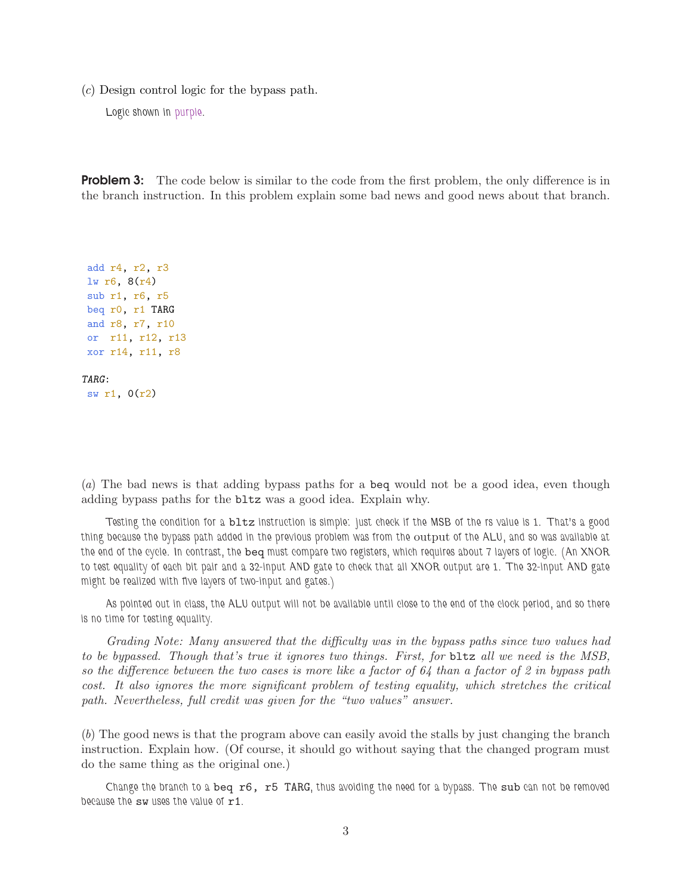(c) Design control logic for the bypass path.

*Logic shown in purple.*

**Problem 3:** The code below is similar to the code from the first problem, the only difference is in the branch instruction. In this problem explain some bad news and good news about that branch.

```
add r4, r2, r3
lw r6, 8(r4)
sub r1, r6, r5
beq r0, r1 TARG
and r8, r7, r10
or r11, r12, r13
xor r14, r11, r8
TARG:
sw r1, 0(r2)
```
(a) The bad news is that adding bypass paths for a beq would not be a good idea, even though adding bypass paths for the bltz was a good idea. Explain why.

*Testing the condition for a* bltz *instruction is simple: just check if the MSB of the rs value is 1. That's a good thing because the bypass path added in the previous problem was from the* output *of the ALU, and so was available at the end of the cycle. In contrast, the* beq *must compare two registers, which requires about 7 layers of logic. (An XNOR to test equality of each bit pair and a 32-input AND gate to check that all XNOR output are 1. The 32-input AND gate might be realized with five layers of two-input and gates.)*

*As pointed out in class, the ALU output will not be available until close to the end of the clock period, and so there is no time for testing equality.*

Grading Note: Many answered that the difficulty was in the bypass paths since two values had to be bypassed. Though that's true it ignores two things. First, for bltz all we need is the MSB, so the difference between the two cases is more like a factor of  $64$  than a factor of 2 in bypass path cost. It also ignores the more significant problem of testing equality, which stretches the critical path. Nevertheless, full credit was given for the "two values" answer.

(b) The good news is that the program above can easily avoid the stalls by just changing the branch instruction. Explain how. (Of course, it should go without saying that the changed program must do the same thing as the original one.)

*Change the branch to a* beq r6, r5 TARG*, thus avoiding the need for a bypass. The* sub *can not be removed because the* sw *uses the value of* r1*.*